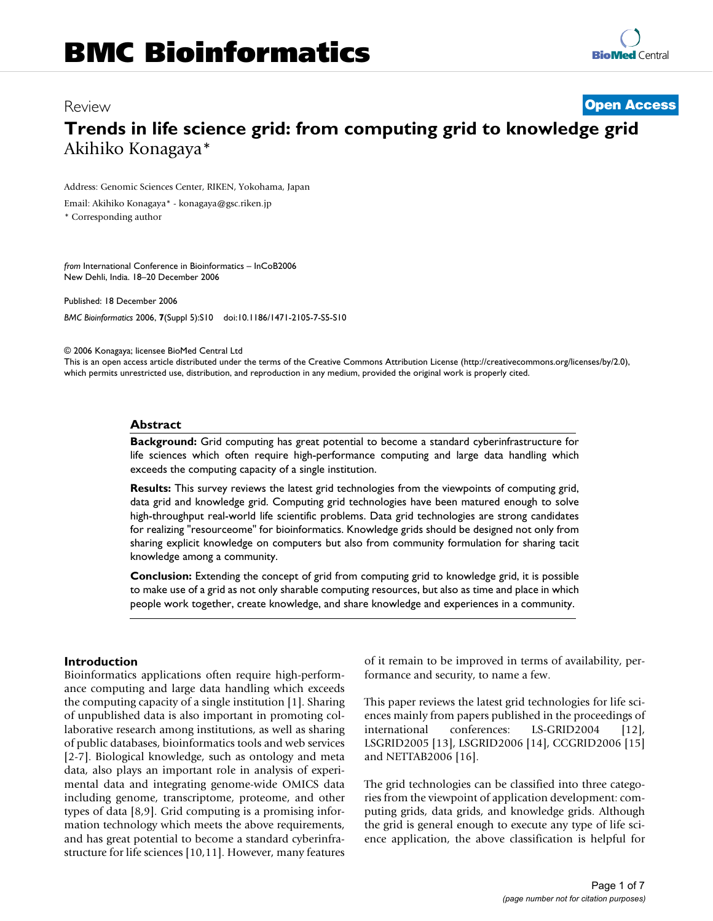Review **[Open Access](http://www.biomedcentral.com/info/about/charter/)**

# **Trends in life science grid: from computing grid to knowledge grid** Akihiko Konagaya\*

Address: Genomic Sciences Center, RIKEN, Yokohama, Japan

Email: Akihiko Konagaya\* - konagaya@gsc.riken.jp

\* Corresponding author

*from* International Conference in Bioinformatics – InCoB2006 New Dehli, India. 18–20 December 2006

Published: 18 December 2006

*BMC Bioinformatics* 2006, **7**(Suppl 5):S10 doi:10.1186/1471-2105-7-S5-S10

© 2006 Konagaya; licensee BioMed Central Ltd

This is an open access article distributed under the terms of the Creative Commons Attribution License (http://creativecommons.org/licenses/by/2.0), which permits unrestricted use, distribution, and reproduction in any medium, provided the original work is properly cited.

# **Abstract**

**Background:** Grid computing has great potential to become a standard cyberinfrastructure for life sciences which often require high-performance computing and large data handling which exceeds the computing capacity of a single institution.

**Results:** This survey reviews the latest grid technologies from the viewpoints of computing grid, data grid and knowledge grid. Computing grid technologies have been matured enough to solve high-throughput real-world life scientific problems. Data grid technologies are strong candidates for realizing "resourceome" for bioinformatics. Knowledge grids should be designed not only from sharing explicit knowledge on computers but also from community formulation for sharing tacit knowledge among a community.

**Conclusion:** Extending the concept of grid from computing grid to knowledge grid, it is possible to make use of a grid as not only sharable computing resources, but also as time and place in which people work together, create knowledge, and share knowledge and experiences in a community.

# **Introduction**

Bioinformatics applications often require high-performance computing and large data handling which exceeds the computing capacity of a single institution [1]. Sharing of unpublished data is also important in promoting collaborative research among institutions, as well as sharing of public databases, bioinformatics tools and web services [2-7]. Biological knowledge, such as ontology and meta data, also plays an important role in analysis of experimental data and integrating genome-wide OMICS data including genome, transcriptome, proteome, and other types of data [8,9]. Grid computing is a promising information technology which meets the above requirements, and has great potential to become a standard cyberinfrastructure for life sciences [10,11]. However, many features of it remain to be improved in terms of availability, performance and security, to name a few.

This paper reviews the latest grid technologies for life sciences mainly from papers published in the proceedings of international conferences: LS-GRID2004 [12], LSGRID2005 [13], LSGRID2006 [14], CCGRID2006 [15] and NETTAB2006 [16].

The grid technologies can be classified into three categories from the viewpoint of application development: computing grids, data grids, and knowledge grids. Although the grid is general enough to execute any type of life science application, the above classification is helpful for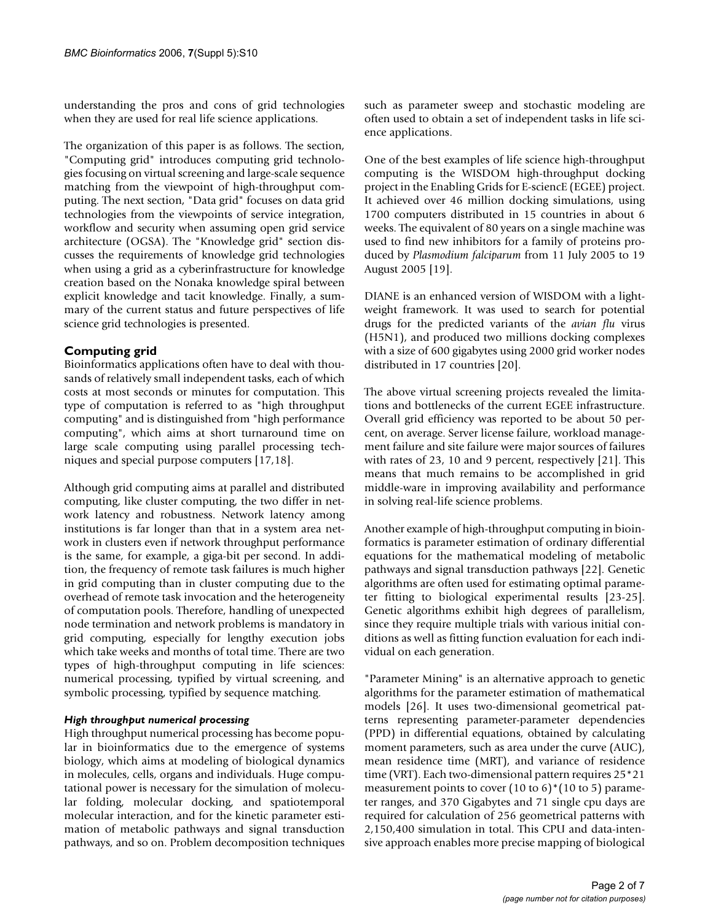understanding the pros and cons of grid technologies when they are used for real life science applications.

The organization of this paper is as follows. The section, "Computing grid" introduces computing grid technologies focusing on virtual screening and large-scale sequence matching from the viewpoint of high-throughput computing. The next section, "Data grid" focuses on data grid technologies from the viewpoints of service integration, workflow and security when assuming open grid service architecture (OGSA). The "Knowledge grid" section discusses the requirements of knowledge grid technologies when using a grid as a cyberinfrastructure for knowledge creation based on the Nonaka knowledge spiral between explicit knowledge and tacit knowledge. Finally, a summary of the current status and future perspectives of life science grid technologies is presented.

# **Computing grid**

Bioinformatics applications often have to deal with thousands of relatively small independent tasks, each of which costs at most seconds or minutes for computation. This type of computation is referred to as "high throughput computing" and is distinguished from "high performance computing", which aims at short turnaround time on large scale computing using parallel processing techniques and special purpose computers [17,18].

Although grid computing aims at parallel and distributed computing, like cluster computing, the two differ in network latency and robustness. Network latency among institutions is far longer than that in a system area network in clusters even if network throughput performance is the same, for example, a giga-bit per second. In addition, the frequency of remote task failures is much higher in grid computing than in cluster computing due to the overhead of remote task invocation and the heterogeneity of computation pools. Therefore, handling of unexpected node termination and network problems is mandatory in grid computing, especially for lengthy execution jobs which take weeks and months of total time. There are two types of high-throughput computing in life sciences: numerical processing, typified by virtual screening, and symbolic processing, typified by sequence matching.

# *High throughput numerical processing*

High throughput numerical processing has become popular in bioinformatics due to the emergence of systems biology, which aims at modeling of biological dynamics in molecules, cells, organs and individuals. Huge computational power is necessary for the simulation of molecular folding, molecular docking, and spatiotemporal molecular interaction, and for the kinetic parameter estimation of metabolic pathways and signal transduction pathways, and so on. Problem decomposition techniques such as parameter sweep and stochastic modeling are often used to obtain a set of independent tasks in life science applications.

One of the best examples of life science high-throughput computing is the WISDOM high-throughput docking project in the Enabling Grids for E-sciencE (EGEE) project. It achieved over 46 million docking simulations, using 1700 computers distributed in 15 countries in about 6 weeks. The equivalent of 80 years on a single machine was used to find new inhibitors for a family of proteins produced by *Plasmodium falciparum* from 11 July 2005 to 19 August 2005 [19].

DIANE is an enhanced version of WISDOM with a lightweight framework. It was used to search for potential drugs for the predicted variants of the *avian flu* virus (H5N1), and produced two millions docking complexes with a size of 600 gigabytes using 2000 grid worker nodes distributed in 17 countries [20].

The above virtual screening projects revealed the limitations and bottlenecks of the current EGEE infrastructure. Overall grid efficiency was reported to be about 50 percent, on average. Server license failure, workload management failure and site failure were major sources of failures with rates of 23, 10 and 9 percent, respectively [21]. This means that much remains to be accomplished in grid middle-ware in improving availability and performance in solving real-life science problems.

Another example of high-throughput computing in bioinformatics is parameter estimation of ordinary differential equations for the mathematical modeling of metabolic pathways and signal transduction pathways [22]. Genetic algorithms are often used for estimating optimal parameter fitting to biological experimental results [23-25]. Genetic algorithms exhibit high degrees of parallelism, since they require multiple trials with various initial conditions as well as fitting function evaluation for each individual on each generation.

"Parameter Mining" is an alternative approach to genetic algorithms for the parameter estimation of mathematical models [26]. It uses two-dimensional geometrical patterns representing parameter-parameter dependencies (PPD) in differential equations, obtained by calculating moment parameters, such as area under the curve (AUC), mean residence time (MRT), and variance of residence time (VRT). Each two-dimensional pattern requires 25\*21 measurement points to cover  $(10 \text{ to } 6)$ <sup>\*</sup> $(10 \text{ to } 5)$  parameter ranges, and 370 Gigabytes and 71 single cpu days are required for calculation of 256 geometrical patterns with 2,150,400 simulation in total. This CPU and data-intensive approach enables more precise mapping of biological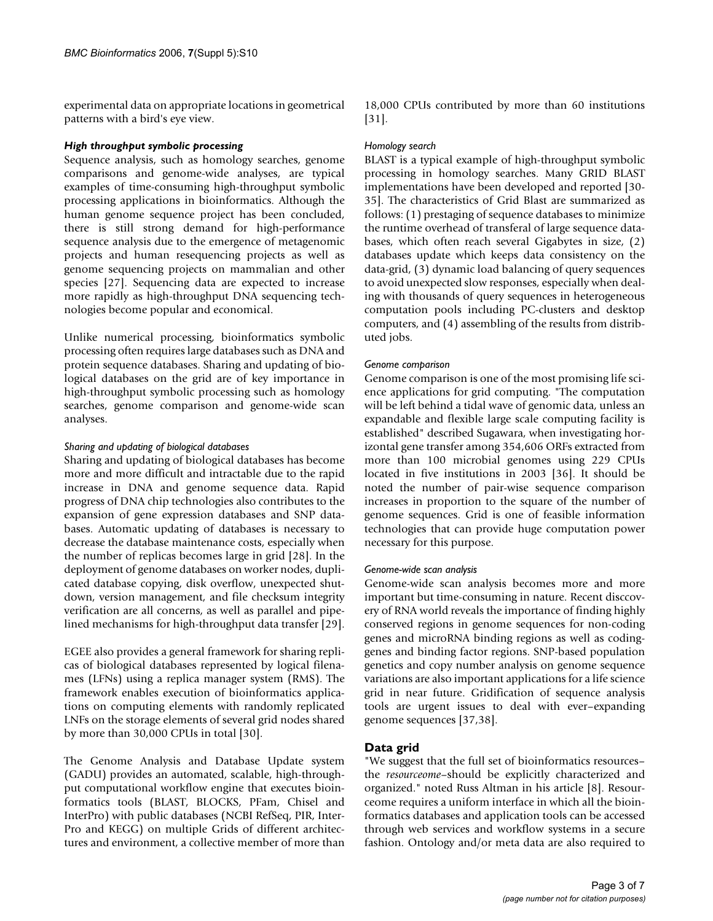experimental data on appropriate locations in geometrical patterns with a bird's eye view.

#### *High throughput symbolic processing*

Sequence analysis, such as homology searches, genome comparisons and genome-wide analyses, are typical examples of time-consuming high-throughput symbolic processing applications in bioinformatics. Although the human genome sequence project has been concluded, there is still strong demand for high-performance sequence analysis due to the emergence of metagenomic projects and human resequencing projects as well as genome sequencing projects on mammalian and other species [27]. Sequencing data are expected to increase more rapidly as high-throughput DNA sequencing technologies become popular and economical.

Unlike numerical processing, bioinformatics symbolic processing often requires large databases such as DNA and protein sequence databases. Sharing and updating of biological databases on the grid are of key importance in high-throughput symbolic processing such as homology searches, genome comparison and genome-wide scan analyses.

#### *Sharing and updating of biological databases*

Sharing and updating of biological databases has become more and more difficult and intractable due to the rapid increase in DNA and genome sequence data. Rapid progress of DNA chip technologies also contributes to the expansion of gene expression databases and SNP databases. Automatic updating of databases is necessary to decrease the database maintenance costs, especially when the number of replicas becomes large in grid [28]. In the deployment of genome databases on worker nodes, duplicated database copying, disk overflow, unexpected shutdown, version management, and file checksum integrity verification are all concerns, as well as parallel and pipelined mechanisms for high-throughput data transfer [29].

EGEE also provides a general framework for sharing replicas of biological databases represented by logical filenames (LFNs) using a replica manager system (RMS). The framework enables execution of bioinformatics applications on computing elements with randomly replicated LNFs on the storage elements of several grid nodes shared by more than 30,000 CPUs in total [30].

The Genome Analysis and Database Update system (GADU) provides an automated, scalable, high-throughput computational workflow engine that executes bioinformatics tools (BLAST, BLOCKS, PFam, Chisel and InterPro) with public databases (NCBI RefSeq, PIR, Inter-Pro and KEGG) on multiple Grids of different architectures and environment, a collective member of more than

18,000 CPUs contributed by more than 60 institutions [31].

#### *Homology search*

BLAST is a typical example of high-throughput symbolic processing in homology searches. Many GRID BLAST implementations have been developed and reported [30- 35]. The characteristics of Grid Blast are summarized as follows: (1) prestaging of sequence databases to minimize the runtime overhead of transferal of large sequence databases, which often reach several Gigabytes in size, (2) databases update which keeps data consistency on the data-grid, (3) dynamic load balancing of query sequences to avoid unexpected slow responses, especially when dealing with thousands of query sequences in heterogeneous computation pools including PC-clusters and desktop computers, and (4) assembling of the results from distributed jobs.

### *Genome comparison*

Genome comparison is one of the most promising life science applications for grid computing. "The computation will be left behind a tidal wave of genomic data, unless an expandable and flexible large scale computing facility is established" described Sugawara, when investigating horizontal gene transfer among 354,606 ORFs extracted from more than 100 microbial genomes using 229 CPUs located in five institutions in 2003 [36]. It should be noted the number of pair-wise sequence comparison increases in proportion to the square of the number of genome sequences. Grid is one of feasible information technologies that can provide huge computation power necessary for this purpose.

#### *Genome-wide scan analysis*

Genome-wide scan analysis becomes more and more important but time-consuming in nature. Recent disccovery of RNA world reveals the importance of finding highly conserved regions in genome sequences for non-coding genes and microRNA binding regions as well as codinggenes and binding factor regions. SNP-based population genetics and copy number analysis on genome sequence variations are also important applications for a life science grid in near future. Gridification of sequence analysis tools are urgent issues to deal with ever–expanding genome sequences [37,38].

### **Data grid**

"We suggest that the full set of bioinformatics resources– the *resourceome*–should be explicitly characterized and organized." noted Russ Altman in his article [8]. Resourceome requires a uniform interface in which all the bioinformatics databases and application tools can be accessed through web services and workflow systems in a secure fashion. Ontology and/or meta data are also required to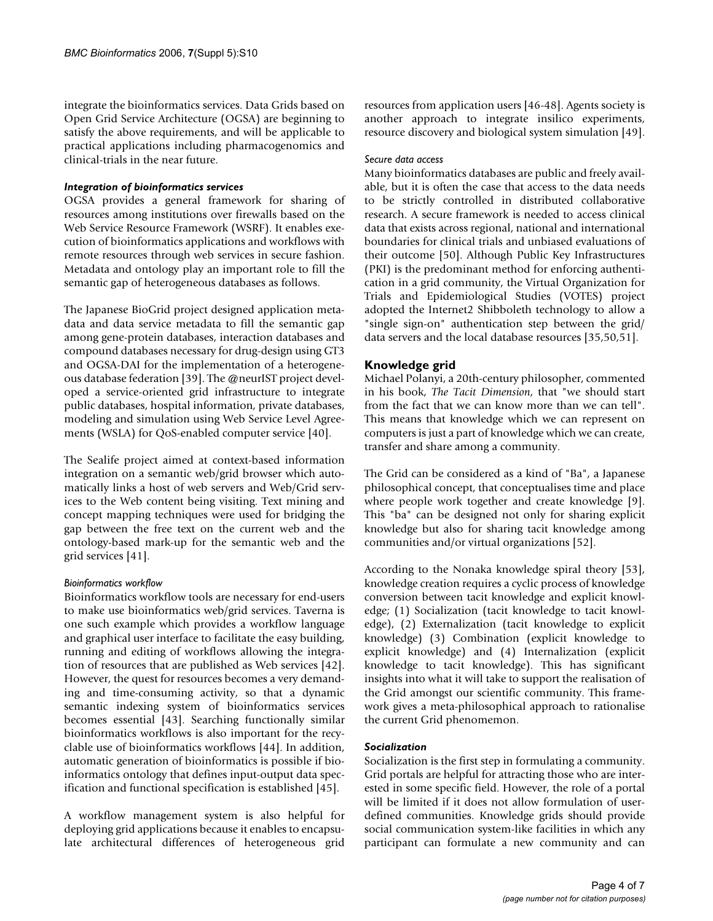integrate the bioinformatics services. Data Grids based on Open Grid Service Architecture (OGSA) are beginning to satisfy the above requirements, and will be applicable to practical applications including pharmacogenomics and clinical-trials in the near future.

# *Integration of bioinformatics services*

OGSA provides a general framework for sharing of resources among institutions over firewalls based on the Web Service Resource Framework (WSRF). It enables execution of bioinformatics applications and workflows with remote resources through web services in secure fashion. Metadata and ontology play an important role to fill the semantic gap of heterogeneous databases as follows.

The Japanese BioGrid project designed application metadata and data service metadata to fill the semantic gap among gene-protein databases, interaction databases and compound databases necessary for drug-design using GT3 and OGSA-DAI for the implementation of a heterogeneous database federation [39]. The @neurIST project developed a service-oriented grid infrastructure to integrate public databases, hospital information, private databases, modeling and simulation using Web Service Level Agreements (WSLA) for QoS-enabled computer service [40].

The Sealife project aimed at context-based information integration on a semantic web/grid browser which automatically links a host of web servers and Web/Grid services to the Web content being visiting. Text mining and concept mapping techniques were used for bridging the gap between the free text on the current web and the ontology-based mark-up for the semantic web and the grid services [41].

### *Bioinformatics workflow*

Bioinformatics workflow tools are necessary for end-users to make use bioinformatics web/grid services. Taverna is one such example which provides a workflow language and graphical user interface to facilitate the easy building, running and editing of workflows allowing the integration of resources that are published as Web services [42]. However, the quest for resources becomes a very demanding and time-consuming activity, so that a dynamic semantic indexing system of bioinformatics services becomes essential [43]. Searching functionally similar bioinformatics workflows is also important for the recyclable use of bioinformatics workflows [44]. In addition, automatic generation of bioinformatics is possible if bioinformatics ontology that defines input-output data specification and functional specification is established [45].

A workflow management system is also helpful for deploying grid applications because it enables to encapsulate architectural differences of heterogeneous grid resources from application users [46-48]. Agents society is another approach to integrate insilico experiments, resource discovery and biological system simulation [49].

# *Secure data access*

Many bioinformatics databases are public and freely available, but it is often the case that access to the data needs to be strictly controlled in distributed collaborative research. A secure framework is needed to access clinical data that exists across regional, national and international boundaries for clinical trials and unbiased evaluations of their outcome [50]. Although Public Key Infrastructures (PKI) is the predominant method for enforcing authentication in a grid community, the Virtual Organization for Trials and Epidemiological Studies (VOTES) project adopted the Internet2 Shibboleth technology to allow a "single sign-on" authentication step between the grid/ data servers and the local database resources [35,50,51].

# **Knowledge grid**

Michael Polanyi, a 20th-century philosopher, commented in his book, *The Tacit Dimension*, that "we should start from the fact that we can know more than we can tell". This means that knowledge which we can represent on computers is just a part of knowledge which we can create, transfer and share among a community.

The Grid can be considered as a kind of "Ba", a Japanese philosophical concept, that conceptualises time and place where people work together and create knowledge [9]. This "ba" can be designed not only for sharing explicit knowledge but also for sharing tacit knowledge among communities and/or virtual organizations [52].

According to the Nonaka knowledge spiral theory [53], knowledge creation requires a cyclic process of knowledge conversion between tacit knowledge and explicit knowledge; (1) Socialization (tacit knowledge to tacit knowledge), (2) Externalization (tacit knowledge to explicit knowledge) (3) Combination (explicit knowledge to explicit knowledge) and (4) Internalization (explicit knowledge to tacit knowledge). This has significant insights into what it will take to support the realisation of the Grid amongst our scientific community. This framework gives a meta-philosophical approach to rationalise the current Grid phenomemon.

# *Socialization*

Socialization is the first step in formulating a community. Grid portals are helpful for attracting those who are interested in some specific field. However, the role of a portal will be limited if it does not allow formulation of userdefined communities. Knowledge grids should provide social communication system-like facilities in which any participant can formulate a new community and can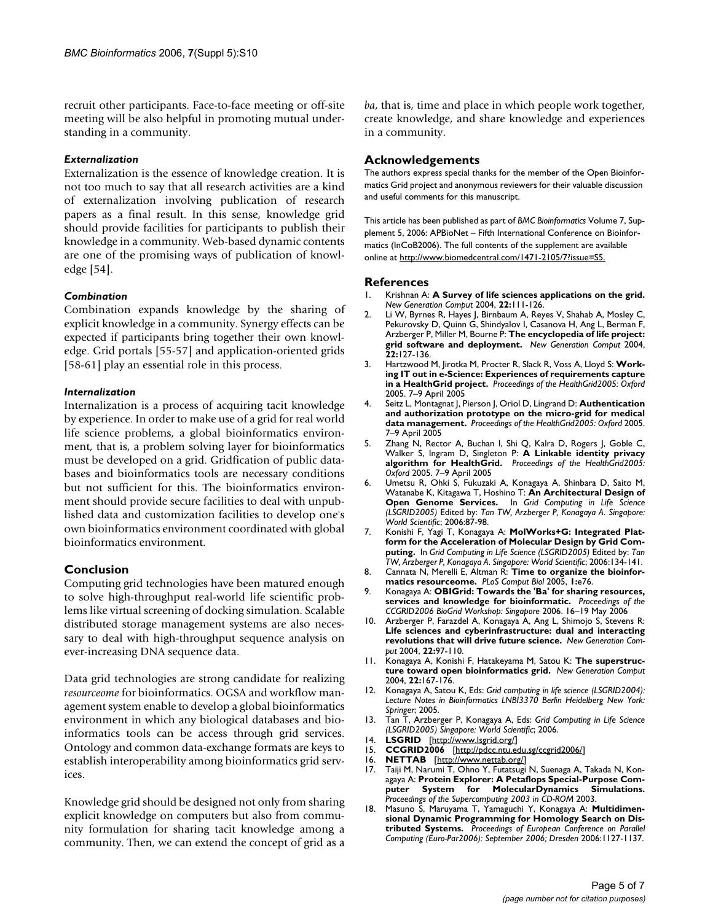recruit other participants. Face-to-face meeting or off-site meeting will be also helpful in promoting mutual understanding in a community.

#### *Externalization*

Externalization is the essence of knowledge creation. It is not too much to say that all research activities are a kind of externalization involving publication of research papers as a final result. In this sense, knowledge grid should provide facilities for participants to publish their knowledge in a community. Web-based dynamic contents are one of the promising ways of publication of knowledge [54].

#### *Combination*

Combination expands knowledge by the sharing of explicit knowledge in a community. Synergy effects can be expected if participants bring together their own knowledge. Grid portals [55-57] and application-oriented grids [58-61] play an essential role in this process.

#### *Internalization*

Internalization is a process of acquiring tacit knowledge by experience. In order to make use of a grid for real world life science problems, a global bioinformatics environment, that is, a problem solving layer for bioinformatics must be developed on a grid. Gridfication of public databases and bioinformatics tools are necessary conditions but not sufficient for this. The bioinformatics environment should provide secure facilities to deal with unpublished data and customization facilities to develop one's own bioinformatics environment coordinated with global bioinformatics environment.

### **Conclusion**

Computing grid technologies have been matured enough to solve high-throughput real-world life scientific problems like virtual screening of docking simulation. Scalable distributed storage management systems are also necessary to deal with high-throughput sequence analysis on ever-increasing DNA sequence data.

Data grid technologies are strong candidate for realizing *resourceome* for bioinformatics. OGSA and workflow management system enable to develop a global bioinformatics environment in which any biological databases and bioinformatics tools can be access through grid services. Ontology and common data-exchange formats are keys to establish interoperability among bioinformatics grid services.

Knowledge grid should be designed not only from sharing explicit knowledge on computers but also from community formulation for sharing tacit knowledge among a community. Then, we can extend the concept of grid as a *ba*, that is, time and place in which people work together, create knowledge, and share knowledge and experiences in a community.

### **Acknowledgements**

The authors express special thanks for the member of the Open Bioinformatics Grid project and anonymous reviewers for their valuable discussion and useful comments for this manuscript.

This article has been published as part of *BMC Bioinformatics* Volume 7, Supplement 5, 2006: APBioNet – Fifth International Conference on Bioinformatics (InCoB2006). The full contents of the supplement are available online at<http://www.biomedcentral.com/1471-2105/7?issue=S5.>

#### **References**

- 1. Krishnan A: **A Survey of life sciences applications on the grid.** *New Generation Comput* 2004, **22:**111-126.
- 2. Li W, Byrnes R, Hayes J, Birnbaum A, Reyes V, Shahab A, Mosley C, Pekurovsky D, Quinn G, Shindyalov I, Casanova H, Ang L, Berman F, Arzberger P, Miller M, Bourne P: **The encyclopedia of life project: grid software and deployment.** *New Generation Comput* 2004, **22:**127-136.
- 3. Hartzwood M, Jirotka M, Procter R, Slack R, Voss A, Lloyd S: **Working IT out in e-Science: Experiences of requirements capture in a HealthGrid project.** *Proceedings of the HealthGrid2005: Oxford* 2005. 7–9 April 2005
- 4. Seitz L, Montagnat J, Pierson J, Oriol D, Lingrand D: **Authentication and authorization prototype on the micro-grid for medical data management.** *Proceedings of the HealthGrid2005: Oxford* 2005. 7–9 April 2005
- 5. Zhang N, Rector A, Buchan I, Shi Q, Kalra D, Rogers J, Goble C, Walker S, Ingram D, Singleton P: **A Linkable identity privacy algorithm for HealthGrid.** *Proceedings of the HealthGrid2005: Oxford* 2005. 7–9 April 2005
- 6. Umetsu R, Ohki S, Fukuzaki A, Konagaya A, Shinbara D, Saito M, Watanabe K, Kitagawa T, Hoshino T: **An Architectural Design of Open Genome Services.** In *Grid Computing in Life Science (LSGRID2005)* Edited by: *Tan TW, Arzberger P, Konagaya A*. *Singapore: World Scientific*; 2006:87-98.
- 7. Konishi F, Yagi T, Konagaya A: **MolWorks+G: Integrated Platform for the Acceleration of Molecular Design by Grid Computing.** In *Grid Computing in Life Science (LSGRID2005)* Edited by: *Tan TW, Arzberger P, Konagaya A*. *Singapore: World Scientific*; 2006:134-141.
- 8. Cannata N, Merelli E, Altman R: **[Time to organize the bioinfor](http://www.ncbi.nlm.nih.gov/entrez/query.fcgi?cmd=Retrieve&db=PubMed&dopt=Abstract&list_uids=16738704)[matics resourceome.](http://www.ncbi.nlm.nih.gov/entrez/query.fcgi?cmd=Retrieve&db=PubMed&dopt=Abstract&list_uids=16738704)** *PLoS Comput Biol* 2005, **1:**e76.
- 9. Konagaya A: **OBIGrid: Towards the 'Ba' for sharing resources, services and knowledge for bioinformatic.** *Proceedings of the CCGRID2006 BioGrid Workshop: Singapore* 2006. 16–19 May 2006
- 10. Arzberger P, Farazdel A, Konagaya A, Ang L, Shimojo S, Stevens R: **Life sciences and cyberinfrastructure: dual and interacting revolutions that will drive future science.** *New Generation Comput* 2004, **22:**97-110.
- 11. Konagaya A, Konishi F, Hatakeyama M, Satou K: **The superstructure toward open bioinformatics grid.** *New Generation Comput* 2004, **22:**167-176.
- 12. Konagaya A, Satou K, Eds: *Grid computing in life science (LSGRID2004): Lecture Notes in Bioinformatics LNBI3370 Berlin Heidelberg New York: Springer*; 2005.
- 13. Tan T, Arzberger P, Konagaya A, Eds: *Grid Computing in Life Science (LSGRID2005) Singapore: World Scientific*; 2006.
- 14. **LSGRID** [\[http://www.lsgrid.org/\]](http://www.lsgrid.org/)<br>15. **CCGRID2006** [http://pdcc.ntu.eo
- 15. **CCGRID2006** [\[http://pdcc.ntu.edu.sg/ccgrid2006/](http://pdcc.ntu.edu.sg/ccgrid2006/)]
- 16. **NETTAB** [[http://www.nettab.org/\]](http://www.nettab.org/)
- 17. Taiji M, Narumi T, Ohno Y, Futatsugi N, Suenaga A, Takada N, Konagaya A: **Protein Explorer: A Petaflops Special-Purpose Computer System for MolecularDynamics Simulations.** *Proceedings of the Supercomputing 2003 in CD-ROM* 2003.
- 18. Masuno S, Maruyama T, Yamaguchi Y, Konagaya A: **Multidimensional Dynamic Programming for Homology Search on Distributed Systems.** *Proceedings of European Conference on Parallel Computing (Euro-Par2006): September 2006; Dresden* 2006:1127-1137.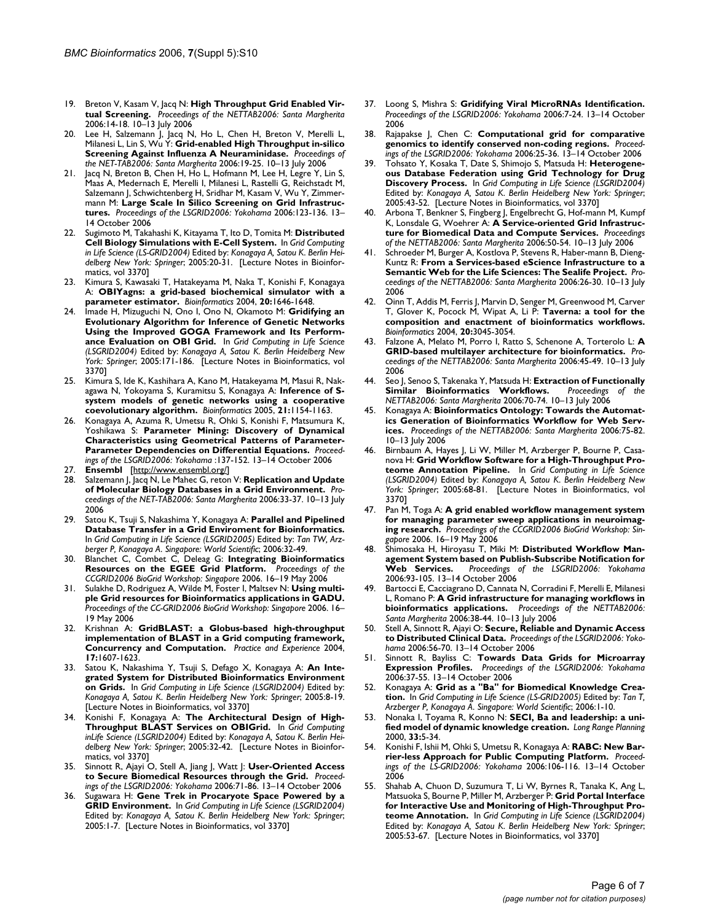- 19. Breton V, Kasam V, Jacq N: **High Throughput Grid Enabled Virtual Screening.** *Proceedings of the NETTAB2006: Santa Margherita* 2006:14-18. 10–13 July 2006
- 20. Lee H, Salzemann J, Jacq N, Ho L, Chen H, Breton V, Merelli L, Milanesi L, Lin S, Wu Y: **Grid-enabled High Throughput in-silico Screening Against Influenza A Neuraminidase.** *Proceedings of the NET-TAB2006: Santa Margherita* 2006:19-25. 10–13 July 2006
- 21. Jacq N, Breton B, Chen H, Ho L, Hofmann M, Lee H, Legre Y, Lin S, Maas A, Medernach E, Merelli I, Milanesi L, Rastelli G, Reichstadt M, Salzemann J, Schwichtenberg H, Sridhar M, Kasam V, Wu Y, Zimmermann M: **Large Scale In Silico Screening on Grid Infrastructures.** *Proceedings of the LSGRID2006: Yokohama* 2006:123-136. 13– 14 October 2006
- 22. Sugimoto M, Takahashi K, Kitayama T, Ito D, Tomita M: **Distributed Cell Biology Simulations with E-Cell System.** In *Grid Computing in Life Science (LS-GRID2004)* Edited by: *Konagaya A, Satou K*. *Berlin Heidelberg New York: Springer*; 2005:20-31. [Lecture Notes in Bioinformatics, vol 3370]
- 23. Kimura S, Kawasaki T, Hatakeyama M, Naka T, Konishi F, Konagaya A: **[OBIYagns: a grid-based biochemical simulator with a](http://www.ncbi.nlm.nih.gov/entrez/query.fcgi?cmd=Retrieve&db=PubMed&dopt=Abstract&list_uids=14962919) [parameter estimator.](http://www.ncbi.nlm.nih.gov/entrez/query.fcgi?cmd=Retrieve&db=PubMed&dopt=Abstract&list_uids=14962919)** *Bioinformatics* 2004, **20:**1646-1648.
- 24. Imade H, Mizuguchi N, Ono I, Ono N, Okamoto M: **Gridifying an Evolutionary Algorithm for Inference of Genetic Networks Using the Improved GOGA Framework and Its Performance Evaluation on OBI Grid.** In *Grid Computing in Life Science (LSGRID2004)* Edited by: *Konagaya A, Satou K*. *Berlin Heidelberg New York: Springer*; 2005:171-186. [Lecture Notes in Bioinformatics, vol 3370]
- 25. Kimura S, Ide K, Kashihara A, Kano M, Hatakeyama M, Masui R, Nakagawa N, Yokoyama S, Kuramitsu S, Konagaya A: **[Inference of S](http://www.ncbi.nlm.nih.gov/entrez/query.fcgi?cmd=Retrieve&db=PubMed&dopt=Abstract&list_uids=15514004)[system models of genetic networks using a cooperative](http://www.ncbi.nlm.nih.gov/entrez/query.fcgi?cmd=Retrieve&db=PubMed&dopt=Abstract&list_uids=15514004) [coevolutionary algorithm.](http://www.ncbi.nlm.nih.gov/entrez/query.fcgi?cmd=Retrieve&db=PubMed&dopt=Abstract&list_uids=15514004)** *Bioinformatics* 2005, **21:**1154-1163.
- 26. Konagaya A, Azuma R, Umetsu R, Ohki S, Konishi F, Matsumura K, Yoshikawa S: **Parameter Mining: Discovery of Dynamical Characteristics using Geometrical Patterns of Parameter-Parameter Dependencies on Differential Equations.** *Proceedings of the LSGRID2006: Yokohama* :137-152. 13–14 October 2006
- 27. **Ensembl** [[http://www.ensembl.org/\]](http://www.ensembl.org/)
- 28. Salzemann J, Jacq N, Le Mahec G, reton V: **Replication and Update of Molecular Biology Databases in a Grid Environment.** *Proceedings of the NET-TAB2006: Santa Margherita* 2006:33-37. 10–13 July 2006
- 29. Satou K, Tsuji S, Nakashima Y, Konagaya A: **Parallel and Pipelined Database Transfer in a Grid Enviroment for Bioinformatics.** In *Grid Computing in Life Science (LSGRID2005)* Edited by: *Tan TW, Arzberger P, Konagaya A*. *Singapore: World Scientific*; 2006:32-49.
- 30. Blanchet C, Combet C, Deleag G: **Integrating Bioinformatics Resources on the EGEE Grid Platform.** *Proceedings of the CCGRID2006 BioGrid Workshop: Singapore* 2006. 16–19 May 2006
- Sulakhe D, Rodriguez A, Wilde M, Foster I, Maltsev N: Using multi**ple Grid resources for Bioinformatics applications in GADU.** *Proceedings of the CC-GRID2006 BioGrid Workshop: Singapore* 2006. 16– 19 May 2006
- 32. Krishnan A: **GridBLAST: a Globus-based high-throughput implementation of BLAST in a Grid computing framework, Concurrency and Computation.** *Practice and Experience* 2004, **17:**1607-1623.
- 33. Satou K, Nakashima Y, Tsuji S, Defago X, Konagaya A: **An Integrated System for Distributed Bioinformatics Environment on Grids.** In *Grid Computing in Life Science (LSGRID2004)* Edited by: *Konagaya A, Satou K*. *Berlin Heidelberg New York: Springer*; 2005:8-19. [Lecture Notes in Bioinformatics, vol 3370]
- Konishi F, Konagaya A: The Architectural Design of High-**Throughput BLAST Services on OBIGrid.** In *Grid Computing inLife Science (LSGRID2004)* Edited by: *Konagaya A, Satou K*. *Berlin Heidelberg New York: Springer*; 2005:32-42. [Lecture Notes in Bioinformatics, vol 3370]
- 35. Sinnott R, Ajayi O, Stell A, Jiang J, Watt J: **User-Oriented Access to Secure Biomedical Resources through the Grid.** *Proceedings of the LSGRID2006: Yokohama* 2006:71-86. 13–14 October 2006
- 36. Sugawara H: **Gene Trek in Procaryote Space Powered by a GRID Environment.** In *Grid Computing in Life Science (LSGRID2004)* Edited by: *Konagaya A, Satou K*. *Berlin Heidelberg New York: Springer*; 2005:1-7. [Lecture Notes in Bioinformatics, vol 3370]
- 37. Loong S, Mishra S: **Gridifying Viral MicroRNAs Identification.** *Proceedings of the LSGRID2006: Yokohama* 2006:7-24. 13–14 October 2006
- 38. Rajapakse J, Chen C: **Computational grid for comparative genomics to identify conserved non-coding regions.** *Proceedings of the LSGRID2006: Yokohama* 2006:25-36. 13–14 October 2006
- 39. Tohsato Y, Kosaka T, Date S, Shimojo S, Matsuda H: **Heterogeneous Database Federation using Grid Technology for Drug Discovery Process.** In *Grid Computing in Life Science (LSGRID2004)* Edited by: *Konagaya A, Satou K*. *Berlin Heidelberg New York: Springer*; 2005:43-52. [Lecture Notes in Bioinformatics, vol 3370]
- Arbona T, Benkner S, Fingberg J, Engelbrecht G, Hof-mann M, Kumpf K, Lonsdale G, Woehrer A: **A Service-oriented Grid Infrastructure for Biomedical Data and Compute Services.** *Proceedings of the NETTAB2006: Santa Margherita* 2006:50-54. 10–13 July 2006
- 41. Schroeder M, Burger A, Kostlova P, Stevens R, Haber-mann B, Dieng-Kuntz R: **From a Services-based eScience Infrastructure to a Semantic Web for the Life Sciences: The Sealife Project.** *Proceedings of the NETTAB2006: Santa Margherita* 2006:26-30. 10–13 July 2006
- 42. Oinn T, Addis M, Ferris J, Marvin D, Senger M, Greenwood M, Carver T, Glover K, Pocock M, Wipat A, Li P: **[Taverna: a tool for the](http://www.ncbi.nlm.nih.gov/entrez/query.fcgi?cmd=Retrieve&db=PubMed&dopt=Abstract&list_uids=15201187) [composition and enactment of bioinformatics workflows.](http://www.ncbi.nlm.nih.gov/entrez/query.fcgi?cmd=Retrieve&db=PubMed&dopt=Abstract&list_uids=15201187)** *Bioinformatics* 2004, **20:**3045-3054.
- 43. Falzone A, Melato M, Porro I, Ratto S, Schenone A, Torterolo L: **A GRID-based multilayer architecture for bioinformatics.** *Proceedings of the NETTAB2006: Santa Margherita* 2006:45-49. 10–13 July 2006
- 44. Seo J, Senoo S, Takenaka Y, Matsuda H: **Extraction of Functionally Similar Bioinformatics Workflows.** *Proceedings of the NETTAB2006: Santa Margherita* 2006:70-74. 10–13 July 2006
- 45. Konagaya A: **Bioinformatics Ontology: Towards the Automatics Generation of Bioinformatics Workflow for Web Services.** *Proceedings of the NETTAB2006: Santa Margherita* 2006:75-82. 10–13 July 2006
- 46. Birnbaum A, Hayes J, Li W, Miller M, Arzberger P, Bourne P, Casanova H: **Grid Workflow Software for a High-Throughput Proteome Annotation Pipeline.** In *Grid Computing in Life Science (LSGRID2004)* Edited by: *Konagaya A, Satou K*. *Berlin Heidelberg New York: Springer*; 2005:68-81. [Lecture Notes in Bioinformatics, vol 3370]
- 47. Pan M, Toga A: **A grid enabled workflow management system for managing parameter sweep applications in neuroimaging research.** *Proceedings of the CCGRID2006 BioGrid Workshop: Singapore* 2006. 16–19 May 2006
- 48. Shimosaka H, Hiroyasu T, Miki M: **Distributed Workflow Management System based on Publish-Subscribe Notification for Web Services.** *Proceedings of the LSGRID2006: Yokohama* 2006:93-105. 13–14 October 2006
- Bartocci E, Cacciagrano D, Cannata N, Corradini F, Merelli E, Milanesi L, Romano P: **A Grid infrastructure for managing workflows in bioinformatics applications.** *Proceedings of the NETTAB2006: Santa Margherita* 2006:38-44. 10–13 July 2006
- Stell A, Sinnott R, Ajayi O: Secure, Reliable and Dynamic Access **to Distributed Clinical Data.** *Proceedings of the LSGRID2006: Yokohama* 2006:56-70. 13–14 October 2006
- 51. Sinnott R, Bayliss C: **Towards Data Grids for Microarray Expression Profiles.** *Proceedings of the LSGRID2006: Yokohama* 2006:37-55. 13–14 October 2006
- 52. Konagaya A: **Grid as a "Ba" for Biomedical Knowledge Creation.** In *Grid Computing in Life Science (LS-GRID2005)* Edited by: *Tan T, Arzberger P, Konagaya A*. *Singapore: World Scientific*; 2006:1-10.
- 53. Nonaka I, Toyama R, Konno N: **SECI, Ba and leadership: a unified model of dynamic knowledge creation.** *Long Range Planning* 2000, **33:**5-34.
- 54. Konishi F, Ishii M, Ohki S, Umetsu R, Konagaya A: **RABC: New Barrier-less Approach for Public Computing Platform.** *Proceedings of the LS-GRID2006: Yokohama* 2006:106-116. 13–14 October 2006
- 55. Shahab A, Chuon D, Suzumura T, Li W, Byrnes R, Tanaka K, Ang L, Matsuoka S, Bourne P, Miller M, Arzberger P: **Grid Portal Interface for Interactive Use and Monitoring of High-Throughput Proteome Annotation.** In *Grid Computing in Life Science (LSGRID2004)* Edited by: *Konagaya A, Satou K*. *Berlin Heidelberg New York: Springer*; 2005:53-67. [Lecture Notes in Bioinformatics, vol 3370]